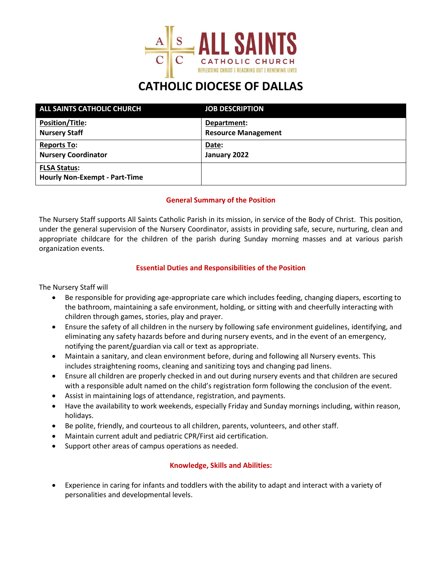

## **CATHOLIC DIOCESE OF DALLAS**

| <b>ALL SAINTS CATHOLIC CHURCH</b>                           | <b>JOB DESCRIPTION</b>     |
|-------------------------------------------------------------|----------------------------|
| <b>Position/Title:</b>                                      | Department:                |
| <b>Nursery Staff</b>                                        | <b>Resource Management</b> |
| <b>Reports To:</b>                                          | Date:                      |
| <b>Nursery Coordinator</b>                                  | January 2022               |
| <b>FLSA Status:</b><br><b>Hourly Non-Exempt - Part-Time</b> |                            |

#### **General Summary of the Position**

The Nursery Staff supports All Saints Catholic Parish in its mission, in service of the Body of Christ. This position, under the general supervision of the Nursery Coordinator, assists in providing safe, secure, nurturing, clean and appropriate childcare for the children of the parish during Sunday morning masses and at various parish organization events.

#### **Essential Duties and Responsibilities of the Position**

The Nursery Staff will

- Be responsible for providing age-appropriate care which includes feeding, changing diapers, escorting to the bathroom, maintaining a safe environment, holding, or sitting with and cheerfully interacting with children through games, stories, play and prayer.
- Ensure the safety of all children in the nursery by following safe environment guidelines, identifying, and eliminating any safety hazards before and during nursery events, and in the event of an emergency, notifying the parent/guardian via call or text as appropriate.
- Maintain a sanitary, and clean environment before, during and following all Nursery events. This includes straightening rooms, cleaning and sanitizing toys and changing pad linens.
- Ensure all children are properly checked in and out during nursery events and that children are secured with a responsible adult named on the child's registration form following the conclusion of the event.
- Assist in maintaining logs of attendance, registration, and payments.
- Have the availability to work weekends, especially Friday and Sunday mornings including, within reason, holidays.
- Be polite, friendly, and courteous to all children, parents, volunteers, and other staff.
- Maintain current adult and pediatric CPR/First aid certification.
- Support other areas of campus operations as needed.

#### **Knowledge, Skills and Abilities:**

• Experience in caring for infants and toddlers with the ability to adapt and interact with a variety of personalities and developmental levels.